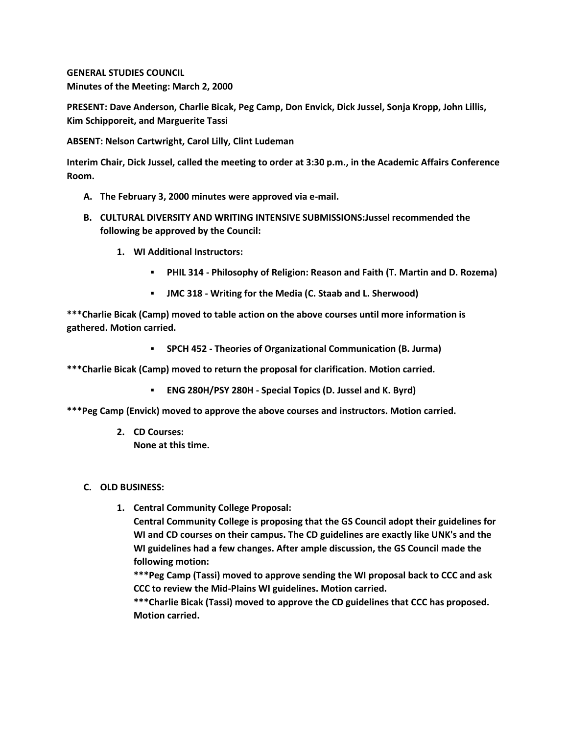**GENERAL STUDIES COUNCIL Minutes of the Meeting: March 2, 2000**

**PRESENT: Dave Anderson, Charlie Bicak, Peg Camp, Don Envick, Dick Jussel, Sonja Kropp, John Lillis, Kim Schipporeit, and Marguerite Tassi**

**ABSENT: Nelson Cartwright, Carol Lilly, Clint Ludeman**

**Interim Chair, Dick Jussel, called the meeting to order at 3:30 p.m., in the Academic Affairs Conference Room.**

- **A. The February 3, 2000 minutes were approved via e-mail.**
- **B. CULTURAL DIVERSITY AND WRITING INTENSIVE SUBMISSIONS:Jussel recommended the following be approved by the Council:** 
	- **1. WI Additional Instructors:** 
		- **PHIL 314 - Philosophy of Religion: Reason and Faith (T. Martin and D. Rozema)**
		- **JMC 318 - Writing for the Media (C. Staab and L. Sherwood)**

**\*\*\*Charlie Bicak (Camp) moved to table action on the above courses until more information is gathered. Motion carried.** 

**SPCH 452 - Theories of Organizational Communication (B. Jurma)**

**\*\*\*Charlie Bicak (Camp) moved to return the proposal for clarification. Motion carried.** 

**ENG 280H/PSY 280H - Special Topics (D. Jussel and K. Byrd)**

**\*\*\*Peg Camp (Envick) moved to approve the above courses and instructors. Motion carried.**

**2. CD Courses: None at this time.**

## **C. OLD BUSINESS:**

**1. Central Community College Proposal:**

**Central Community College is proposing that the GS Council adopt their guidelines for WI and CD courses on their campus. The CD guidelines are exactly like UNK's and the WI guidelines had a few changes. After ample discussion, the GS Council made the following motion:**

**\*\*\*Peg Camp (Tassi) moved to approve sending the WI proposal back to CCC and ask CCC to review the Mid-Plains WI guidelines. Motion carried.**

**\*\*\*Charlie Bicak (Tassi) moved to approve the CD guidelines that CCC has proposed. Motion carried.**